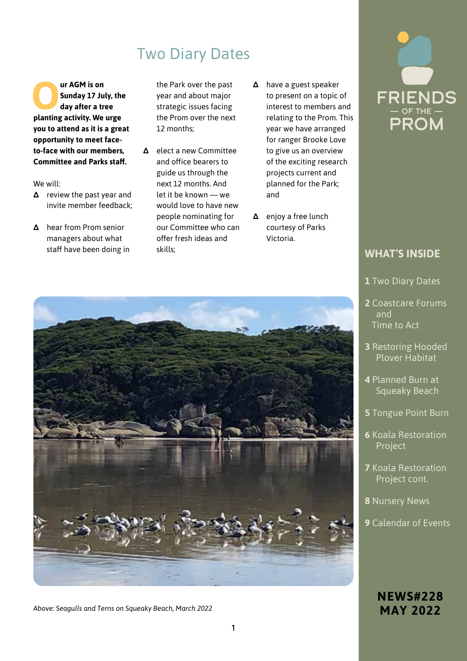# Two Diary Dates

**Our AGM is on<br>
Sunday 17 Ju<br>
day after a transfer in the property of the property Sunday 17 July, the day after a tree planting activity. We urge you to attend as it is a great opportunity to meet faceto-face with our members, Committee and Parks staff.** 

We will:

- **∆** review the past year and invite member feedback;
- **∆** hear from Prom senior managers about what staff have been doing in

the Park over the past year and about major strategic issues facing the Prom over the next 12 months;

- **∆** elect a new Committee and office bearers to guide us through the next 12 months. And let it be known — we would love to have new people nominating for our Committee who can offer fresh ideas and skills;
- **∆** have a guest speaker to present on a topic of interest to members and relating to the Prom. This year we have arranged for ranger Brooke Love to give us an overview of the exciting research projects current and planned for the Park; and
- **∆** enjoy a free lunch courtesy of Parks Victoria.



### **WHAT'S INSIDE**

- **1** Two Diary Dates
- **2** Coastcare Forums and Time to Act
- **3** Restoring Hooded Plover Habitat
- **4** Planned Burn at Squeaky Beach
- **5** Tongue Point Burn
- **6** Koala Restoration Project
- **7** Koala Restoration Project cont.
- **8** Nursery News
- **9** Calendar of Events

### **NEWS#228 MAY 2022**



*Above: Seagulls and Terns on Squeaky Beach, March 2022*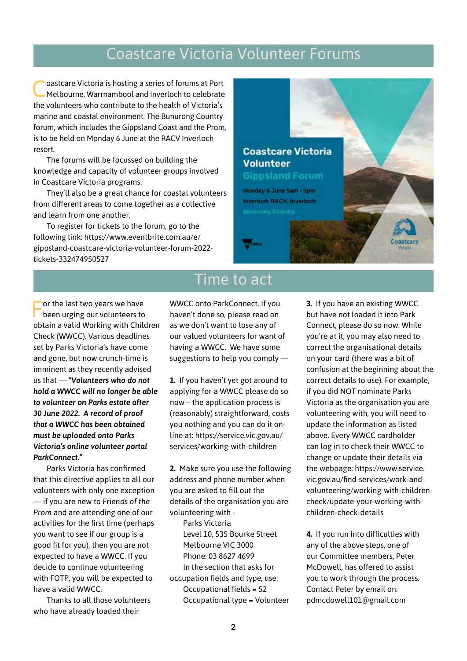# Coastcare Victoria Volunteer Forums

Coastcare Victoria is hosting a series of forums at Port Melbourne, Warrnambool and Inverloch to celebrate the volunteers who contribute to the health of Victoria's marine and coastal environment. The Bunurong Country forum, which includes the Gippsland Coast and the Prom, is to be held on Monday 6 June at the RACV Inverloch resort.

The forums will be focussed on building the knowledge and capacity of volunteer groups involved in Coastcare Victoria programs.

They'll also be a great chance for coastal volunteers from different areas to come together as a collective and learn from one another.

To register for tickets to the forum, go to the following link: https://www.eventbrite.com.au/e/ gippsland-coastcare-victoria-volunteer-forum-2022 tickets-332474950527

# **Coastcare Victoria Volunteer Gippsland Forum** Monday 6 June 9am - 5pm Inverloch RACV, Inverloch

For the last two years we have been urging our volunteers to obtain a valid Working with Children Check (WWCC). Various deadlines set by Parks Victoria's have come and gone, but now crunch-time is imminent as they recently advised us that — *"Volunteers who do not hold a WWCC will no longer be able to volunteer on Parks estate after 30 June 2022. A record of proof that a WWCC has been obtained must be uploaded onto Parks Victoria's online volunteer portal ParkConnect."*

Parks Victoria has confirmed that this directive applies to all our volunteers with only one exception — if you are new to *Friends of the Prom* and are attending one of our activities for the first time (perhaps you want to see if our group is a good fit for you), then you are not expected to have a WWCC. If you decide to continue volunteering with FOTP, you will be expected to have a valid WWCC.

Thanks to all those volunteers who have already loaded their

# **Time to act**

WWCC onto ParkConnect. If you haven't done so, please read on as we don't want to lose any of our valued volunteers for want of having a WWCC. We have some suggestions to help you comply —

**1.** If you haven't yet got around to applying for a WWCC please do so now – the application process is (reasonably) straightforward, costs you nothing and you can do it online at: https://service.vic.gov.au/ services/working-with-children

**2.** Make sure you use the following address and phone number when you are asked to fill out the details of the organisation you are volunteering with -

Parks Victoria Level 10, 535 Bourke Street Melbourne VIC 3000 Phone: 03 8627 4699 In the section that asks for occupation fields and type, use: Occupational fields = 52 Occupational type = Volunteer **3.** If you have an existing WWCC but have not loaded it into Park Connect, please do so now. While you're at it, you may also need to correct the organisational details on your card (there was a bit of confusion at the beginning about the correct details to use). For example, if you did NOT nominate Parks Victoria as the organisation you are volunteering with, you will need to update the information as listed above. Every WWCC cardholder can log in to check their WWCC to change or update their details via the webpage: https://www.service. vic.gov.au/find-services/work-andvolunteering/working-with-childrencheck/update-your-working-withchildren-check-details

**4.** If you run into difficulties with any of the above steps, one of our Committee members, Peter McDowell, has offered to assist you to work through the process. Contact Peter by email on: pdmcdowell101@gmail.com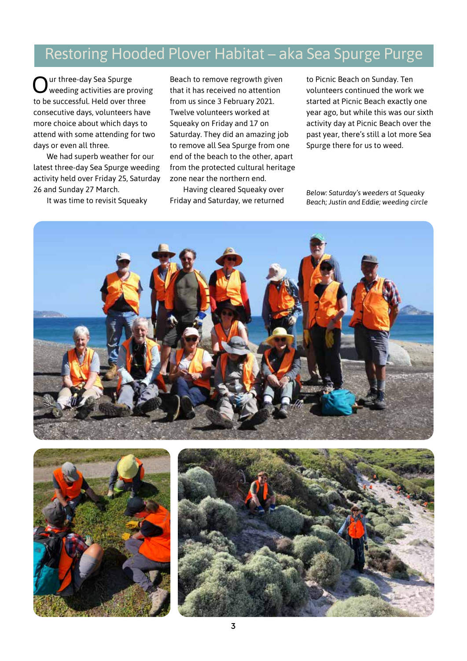## Restoring Hooded Plover Habitat – aka Sea Spurge Purge

Our three-day Sea Spurge weeding activities are proving to be successful. Held over three consecutive days, volunteers have more choice about which days to attend with some attending for two days or even all three.

We had superb weather for our latest three-day Sea Spurge weeding activity held over Friday 25, Saturday 26 and Sunday 27 March.

It was time to revisit Squeaky

Beach to remove regrowth given that it has received no attention from us since 3 February 2021. Twelve volunteers worked at Squeaky on Friday and 17 on Saturday. They did an amazing job to remove all Sea Spurge from one end of the beach to the other, apart from the protected cultural heritage zone near the northern end.

Having cleared Squeaky over Friday and Saturday, we returned

to Picnic Beach on Sunday. Ten volunteers continued the work we started at Picnic Beach exactly one year ago, but while this was our sixth activity day at Picnic Beach over the past year, there's still a lot more Sea Spurge there for us to weed.

*Below: Saturday's weeders at Squeaky Beach; Justin and Eddie; weeding circle*

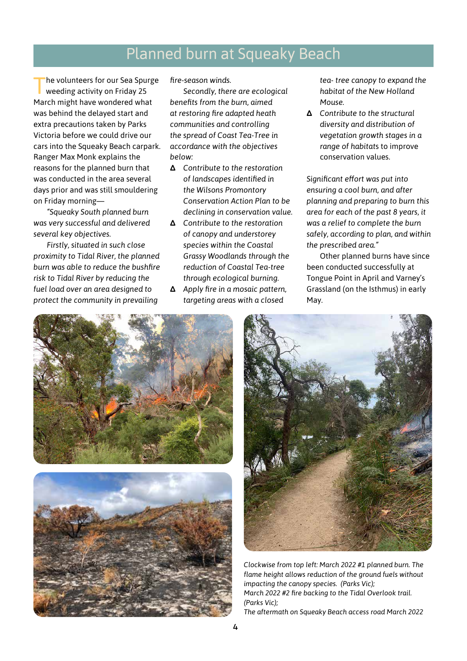### Planned burn at Squeaky Beach

'he volunteers for our Sea Spurge weeding activity on Friday 25 March might have wondered what was behind the delayed start and extra precautions taken by Parks Victoria before we could drive our cars into the Squeaky Beach carpark. Ranger Max Monk explains the reasons for the planned burn that was conducted in the area several days prior and was still smouldering on Friday morning—

*"Squeaky South planned burn was very successful and delivered several key objectives.*

*Firstly, situated in such close proximity to Tidal River, the planned burn was able to reduce the bushfire risk to Tidal River by reducing the fuel load over an area designed to protect the community in prevailing* 

*fire-season winds.*

*Secondly, there are ecological benefits from the burn, aimed at restoring fire adapted heath communities and controlling the spread of Coast Tea-Tree in accordance with the objectives below:*

- **∆** *Contribute to the restoration of landscapes identified in the Wilsons Promontory Conservation Action Plan to be declining in conservation value.*
- **∆** *Contribute to the restoration of canopy and understorey species within the Coastal Grassy Woodlands through the reduction of Coastal Tea-tree through ecological burning.*
- **∆** *Apply fire in a mosaic pattern, targeting areas with a closed*

*tea- tree canopy to expand the habitat of the New Holland Mouse.*

**∆** *Contribute to the structural diversity and distribution of vegetation growth stages in a range of habitat*s to improve conservation values.

*Significant effort was put into ensuring a cool burn, and after planning and preparing to burn this area for each of the past 8 years, it was a relief to complete the burn safely, according to plan, and within the prescribed area."*

Other planned burns have since been conducted successfully at Tongue Point in April and Varney's Grassland (on the Isthmus) in early May.







*Clockwise from top left: March 2022 #1 planned burn. The flame height allows reduction of the ground fuels without impacting the canopy species. (Parks Vic); March 2022 #2 fire backing to the Tidal Overlook trail. (Parks Vic);*

*The aftermath on Squeaky Beach access road March 2022*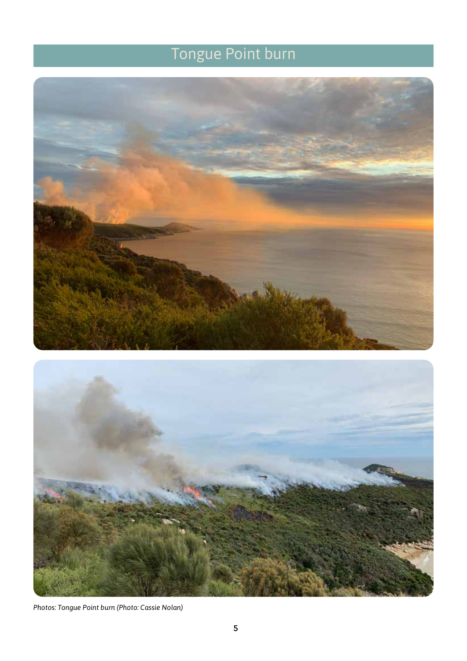# Tongue Point burn





*Photos: Tongue Point burn (Photo: Cassie Nolan)*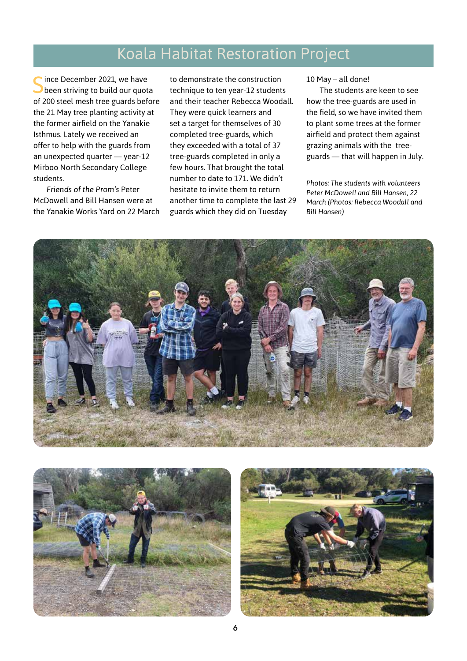### Koala Habitat Restoration Project

Since December 2021, we have<br>Since of striving to build our quota of 200 steel mesh tree guards before the 21 May tree planting activity at the former airfield on the Yanakie Isthmus. Lately we received an offer to help with the guards from an unexpected quarter — year-12 Mirboo North Secondary College students.

*Friends of the Prom's* Peter McDowell and Bill Hansen were at the Yanakie Works Yard on 22 March to demonstrate the construction technique to ten year-12 students and their teacher Rebecca Woodall. They were quick learners and set a target for themselves of 30 completed tree-guards, which they exceeded with a total of 37 tree-guards completed in only a few hours. That brought the total number to date to 171. We didn't hesitate to invite them to return another time to complete the last 29 guards which they did on Tuesday

10 May – all done!

The students are keen to see how the tree-guards are used in the field, so we have invited them to plant some trees at the former airfield and protect them against grazing animals with the treeguards — that will happen in July.

*Photos: The students with volunteers Peter McDowell and Bill Hansen, 22 March (Photos: Rebecca Woodall and Bill Hansen)*





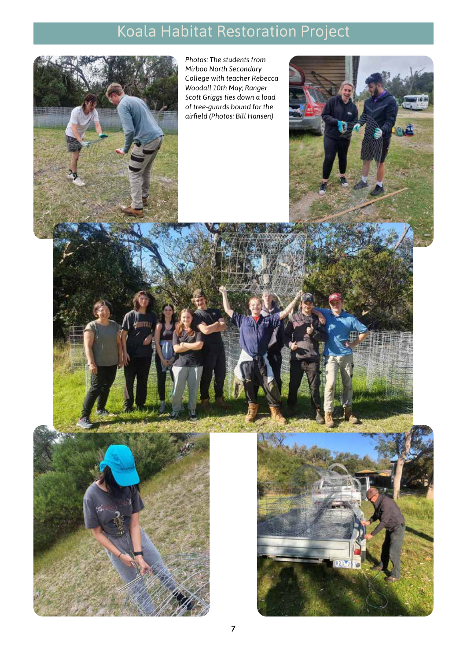# Koala Habitat Restoration Project

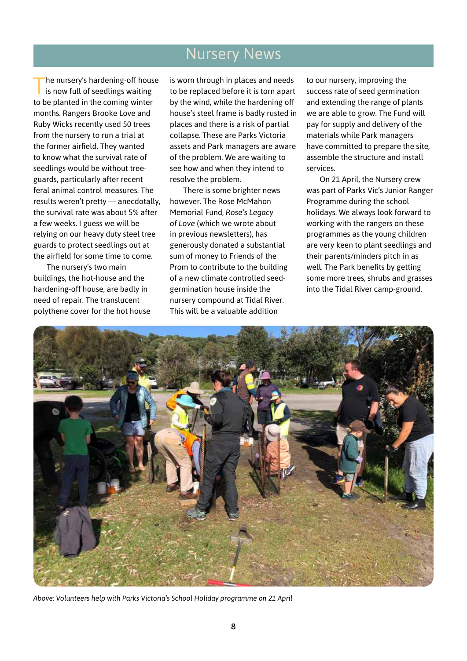### Nursery News

The nursery's hardening-off house<br>is now full of seedlings waiting to be planted in the coming winter months. Rangers Brooke Love and Ruby Wicks recently used 50 trees from the nursery to run a trial at the former airfield. They wanted to know what the survival rate of seedlings would be without treeguards, particularly after recent feral animal control measures. The results weren't pretty — anecdotally, the survival rate was about 5% after a few weeks. I guess we will be relying on our heavy duty steel tree guards to protect seedlings out at the airfield for some time to come.

The nursery's two main buildings, the hot-house and the hardening-off house, are badly in need of repair. The translucent polythene cover for the hot house is worn through in places and needs to be replaced before it is torn apart by the wind, while the hardening off house's steel frame is badly rusted in places and there is a risk of partial collapse. These are Parks Victoria assets and Park managers are aware of the problem. We are waiting to see how and when they intend to resolve the problem.

There is some brighter news however. The Rose McMahon Memorial Fund, *Rose's Legacy of Love* (which we wrote about in previous newsletters), has generously donated a substantial sum of money to Friends of the Prom to contribute to the building of a new climate controlled seedgermination house inside the nursery compound at Tidal River. This will be a valuable addition

to our nursery, improving the success rate of seed germination and extending the range of plants we are able to grow. The Fund will pay for supply and delivery of the materials while Park managers have committed to prepare the site, assemble the structure and install services.

On 21 April, the Nursery crew was part of Parks Vic's Junior Ranger Programme during the school holidays. We always look forward to working with the rangers on these programmes as the young children are very keen to plant seedlings and their parents/minders pitch in as well. The Park benefits by getting some more trees, shrubs and grasses into the Tidal River camp-ground.



*Above: Volunteers help with Parks Victoria's School Holiday programme on 21 April*